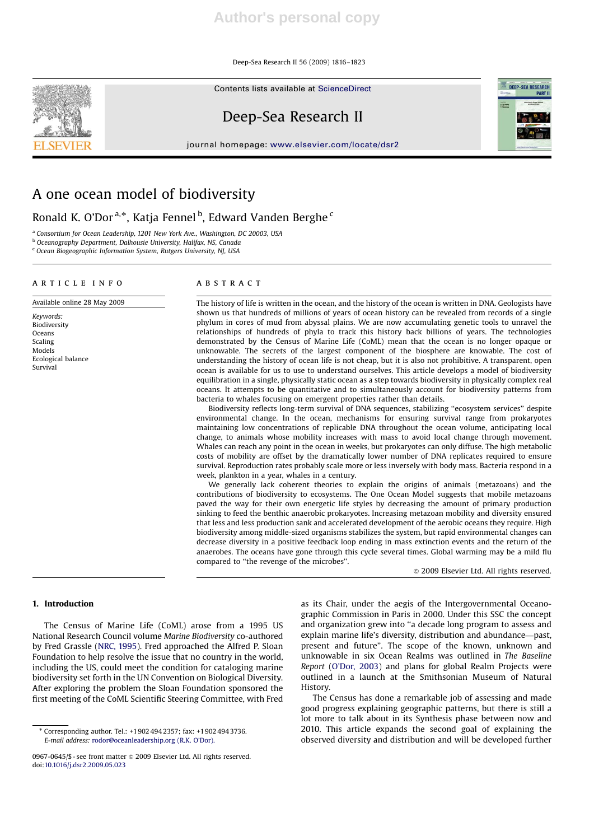Deep-Sea Research II 56 (2009) 1816–1823

Contents lists available at ScienceDirect



# Deep-Sea Research II

journal homepage: www.elsevier.com/locate/dsr2



## A one ocean model of biodiversity

Ronald K. O'Dor<sup>a,\*</sup>, Katja Fennel<sup>b</sup>, Edward Vanden Berghe<sup>c</sup>

<sup>a</sup> Consortium for Ocean Leadership, 1201 New York Ave., Washington, DC 20003, USA

<sup>b</sup> Oceanography Department, Dalhousie University, Halifax, NS, Canada

<sup>c</sup> Ocean Biogeographic Information System, Rutgers University, NJ, USA

## article info Available online 28 May 2009

Keywords: **Biodiversity** Oceans Scaling Models Ecological balance Survival

## **ABSTRACT**

The history of life is written in the ocean, and the history of the ocean is written in DNA. Geologists have shown us that hundreds of millions of years of ocean history can be revealed from records of a single phylum in cores of mud from abyssal plains. We are now accumulating genetic tools to unravel the relationships of hundreds of phyla to track this history back billions of years. The technologies demonstrated by the Census of Marine Life (CoML) mean that the ocean is no longer opaque or unknowable. The secrets of the largest component of the biosphere are knowable. The cost of understanding the history of ocean life is not cheap, but it is also not prohibitive. A transparent, open ocean is available for us to use to understand ourselves. This article develops a model of biodiversity equilibration in a single, physically static ocean as a step towards biodiversity in physically complex real oceans. It attempts to be quantitative and to simultaneously account for biodiversity patterns from bacteria to whales focusing on emergent properties rather than details.

Biodiversity reflects long-term survival of DNA sequences, stabilizing ''ecosystem services'' despite environmental change. In the ocean, mechanisms for ensuring survival range from prokaryotes maintaining low concentrations of replicable DNA throughout the ocean volume, anticipating local change, to animals whose mobility increases with mass to avoid local change through movement. Whales can reach any point in the ocean in weeks, but prokaryotes can only diffuse. The high metabolic costs of mobility are offset by the dramatically lower number of DNA replicates required to ensure survival. Reproduction rates probably scale more or less inversely with body mass. Bacteria respond in a week, plankton in a year, whales in a century.

We generally lack coherent theories to explain the origins of animals (metazoans) and the contributions of biodiversity to ecosystems. The One Ocean Model suggests that mobile metazoans paved the way for their own energetic life styles by decreasing the amount of primary production sinking to feed the benthic anaerobic prokaryotes. Increasing metazoan mobility and diversity ensured that less and less production sank and accelerated development of the aerobic oceans they require. High biodiversity among middle-sized organisms stabilizes the system, but rapid environmental changes can decrease diversity in a positive feedback loop ending in mass extinction events and the return of the anaerobes. The oceans have gone through this cycle several times. Global warming may be a mild flu compared to ''the revenge of the microbes''.

 $© 2009$  Elsevier Ltd. All rights reserved.

## 1. Introduction

The Census of Marine Life (CoML) arose from a 1995 US National Research Council volume Marine Biodiversity co-authored by Fred Grassle (NRC, 1995). Fred approached the Alfred P. Sloan Foundation to help resolve the issue that no country in the world, including the US, could meet the condition for cataloging marine biodiversity set forth in the UN Convention on Biological Diversity. After exploring the problem the Sloan Foundation sponsored the first meeting of the CoML Scientific Steering Committee, with Fred as its Chair, under the aegis of the Intergovernmental Oceanographic Commission in Paris in 2000. Under this SSC the concept and organization grew into ''a decade long program to assess and explain marine life's diversity, distribution and abundance—past, present and future''. The scope of the known, unknown and unknowable in six Ocean Realms was outlined in The Baseline Report (O'Dor, 2003) and plans for global Realm Projects were outlined in a launch at the Smithsonian Museum of Natural History.

The Census has done a remarkable job of assessing and made good progress explaining geographic patterns, but there is still a lot more to talk about in its Synthesis phase between now and 2010. This article expands the second goal of explaining the observed diversity and distribution and will be developed further

<sup>-</sup> Corresponding author. Tel.: +1902 494 2357; fax: +1902 494 3736. E-mail address: rodor@oceanleadership.org (R.K. O'Dor).

<sup>0967-0645/\$ -</sup> see front matter & 2009 Elsevier Ltd. All rights reserved. doi:10.1016/j.dsr2.2009.05.023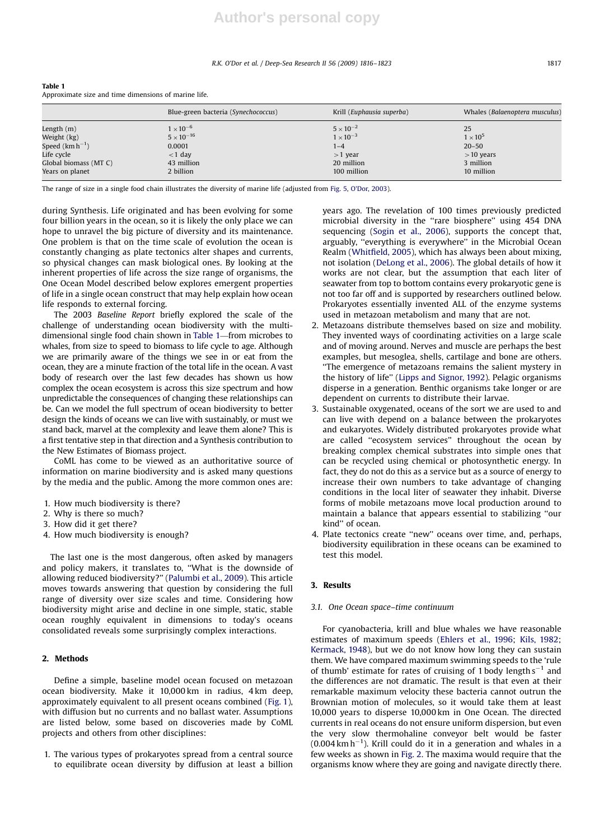#### R.K. O'Dor et al. / Deep-Sea Research II 56 (2009) 1816–1823 1817

| $\cdots$              |                                     |                           |                                |
|-----------------------|-------------------------------------|---------------------------|--------------------------------|
|                       | Blue-green bacteria (Synechococcus) | Krill (Euphausia superba) | Whales (Balaenoptera musculus) |
| Length $(m)$          | $1 \times 10^{-6}$                  | $5 \times 10^{-2}$        | 25                             |
| Weight (kg)           | $5 \times 10^{-16}$                 | $1 \times 10^{-3}$        | $1\times10^5$                  |
| Speed $(km h^{-1})$   | 0.0001                              | $1 - 4$                   | $20 - 50$                      |
| Life cycle            | $<$ 1 day                           | $>1$ year                 | $>10$ years                    |
| Global biomass (MT C) | 43 million                          | 20 million                | 3 million                      |
| Years on planet       | 2 billion                           | 100 million               | 10 million                     |

Table 1 Approximate size and time dimensions of marine life.

The range of size in a single food chain illustrates the diversity of marine life (adjusted from Fig. 5, O'Dor, 2003).

during Synthesis. Life originated and has been evolving for some four billion years in the ocean, so it is likely the only place we can hope to unravel the big picture of diversity and its maintenance. One problem is that on the time scale of evolution the ocean is constantly changing as plate tectonics alter shapes and currents, so physical changes can mask biological ones. By looking at the inherent properties of life across the size range of organisms, the One Ocean Model described below explores emergent properties of life in a single ocean construct that may help explain how ocean life responds to external forcing.

The 2003 Baseline Report briefly explored the scale of the challenge of understanding ocean biodiversity with the multidimensional single food chain shown in Table 1—from microbes to whales, from size to speed to biomass to life cycle to age. Although we are primarily aware of the things we see in or eat from the ocean, they are a minute fraction of the total life in the ocean. A vast body of research over the last few decades has shown us how complex the ocean ecosystem is across this size spectrum and how unpredictable the consequences of changing these relationships can be. Can we model the full spectrum of ocean biodiversity to better design the kinds of oceans we can live with sustainably, or must we stand back, marvel at the complexity and leave them alone? This is a first tentative step in that direction and a Synthesis contribution to the New Estimates of Biomass project.

CoML has come to be viewed as an authoritative source of information on marine biodiversity and is asked many questions by the media and the public. Among the more common ones are:

- 1. How much biodiversity is there?
- 2. Why is there so much?
- 3. How did it get there?
- 4. How much biodiversity is enough?

The last one is the most dangerous, often asked by managers and policy makers, it translates to, ''What is the downside of allowing reduced biodiversity?'' (Palumbi et al., 2009). This article moves towards answering that question by considering the full range of diversity over size scales and time. Considering how biodiversity might arise and decline in one simple, static, stable ocean roughly equivalent in dimensions to today's oceans consolidated reveals some surprisingly complex interactions.

## 2. Methods

Define a simple, baseline model ocean focused on metazoan ocean biodiversity. Make it 10,000 km in radius, 4 km deep, approximately equivalent to all present oceans combined (Fig. 1), with diffusion but no currents and no ballast water. Assumptions are listed below, some based on discoveries made by CoML projects and others from other disciplines:

1. The various types of prokaryotes spread from a central source to equilibrate ocean diversity by diffusion at least a billion years ago. The revelation of 100 times previously predicted microbial diversity in the ''rare biosphere'' using 454 DNA sequencing (Sogin et al., 2006), supports the concept that, arguably, "everything is everywhere" in the Microbial Ocean Realm (Whitfield, 2005), which has always been about mixing, not isolation (DeLong et al., 2006). The global details of how it works are not clear, but the assumption that each liter of seawater from top to bottom contains every prokaryotic gene is not too far off and is supported by researchers outlined below. Prokaryotes essentially invented ALL of the enzyme systems used in metazoan metabolism and many that are not.

- 2. Metazoans distribute themselves based on size and mobility. They invented ways of coordinating activities on a large scale and of moving around. Nerves and muscle are perhaps the best examples, but mesoglea, shells, cartilage and bone are others. ''The emergence of metazoans remains the salient mystery in the history of life'' (Lipps and Signor, 1992). Pelagic organisms disperse in a generation. Benthic organisms take longer or are dependent on currents to distribute their larvae.
- 3. Sustainable oxygenated, oceans of the sort we are used to and can live with depend on a balance between the prokaryotes and eukaryotes. Widely distributed prokaryotes provide what are called ''ecosystem services'' throughout the ocean by breaking complex chemical substrates into simple ones that can be recycled using chemical or photosynthetic energy. In fact, they do not do this as a service but as a source of energy to increase their own numbers to take advantage of changing conditions in the local liter of seawater they inhabit. Diverse forms of mobile metazoans move local production around to maintain a balance that appears essential to stabilizing ''our kind'' of ocean.
- 4. Plate tectonics create ''new'' oceans over time, and, perhaps, biodiversity equilibration in these oceans can be examined to test this model.

## 3. Results

## 3.1. One Ocean space–time continuum

For cyanobacteria, krill and blue whales we have reasonable estimates of maximum speeds (Ehlers et al., 1996; Kils, 1982; Kermack, 1948), but we do not know how long they can sustain them. We have compared maximum swimming speeds to the 'rule of thumb' estimate for rates of cruising of 1 body length  $s^{-1}$  and the differences are not dramatic. The result is that even at their remarkable maximum velocity these bacteria cannot outrun the Brownian motion of molecules, so it would take them at least 10,000 years to disperse 10,000 km in One Ocean. The directed currents in real oceans do not ensure uniform dispersion, but even the very slow thermohaline conveyor belt would be faster  $(0.004 \text{ km h}^{-1})$ . Krill could do it in a generation and whales in a few weeks as shown in Fig. 2. The maxima would require that the organisms know where they are going and navigate directly there.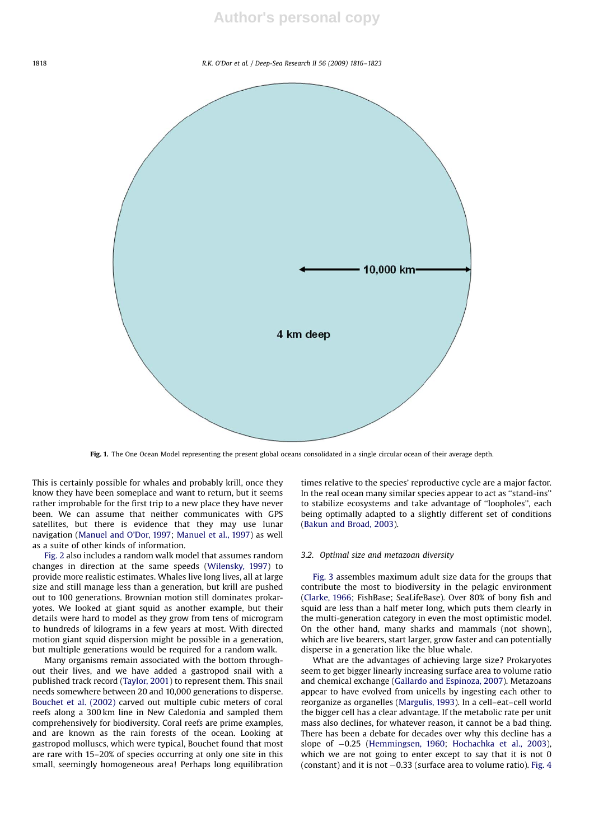## **Author's personal copy**

#### 1818 R.K. O'Dor et al. / Deep-Sea Research II 56 (2009) 1816–1823



Fig. 1. The One Ocean Model representing the present global oceans consolidated in a single circular ocean of their average depth.

This is certainly possible for whales and probably krill, once they know they have been someplace and want to return, but it seems rather improbable for the first trip to a new place they have never been. We can assume that neither communicates with GPS satellites, but there is evidence that they may use lunar navigation (Manuel and O'Dor, 1997; Manuel et al., 1997) as well as a suite of other kinds of information.

Fig. 2 also includes a random walk model that assumes random changes in direction at the same speeds (Wilensky, 1997) to provide more realistic estimates. Whales live long lives, all at large size and still manage less than a generation, but krill are pushed out to 100 generations. Brownian motion still dominates prokaryotes. We looked at giant squid as another example, but their details were hard to model as they grow from tens of microgram to hundreds of kilograms in a few years at most. With directed motion giant squid dispersion might be possible in a generation, but multiple generations would be required for a random walk.

Many organisms remain associated with the bottom throughout their lives, and we have added a gastropod snail with a published track record (Taylor, 2001) to represent them. This snail needs somewhere between 20 and 10,000 generations to disperse. Bouchet et al. (2002) carved out multiple cubic meters of coral reefs along a 300 km line in New Caledonia and sampled them comprehensively for biodiversity. Coral reefs are prime examples, and are known as the rain forests of the ocean. Looking at gastropod molluscs, which were typical, Bouchet found that most are rare with 15–20% of species occurring at only one site in this small, seemingly homogeneous area! Perhaps long equilibration times relative to the species' reproductive cycle are a major factor. In the real ocean many similar species appear to act as ''stand-ins'' to stabilize ecosystems and take advantage of ''loopholes'', each being optimally adapted to a slightly different set of conditions (Bakun and Broad, 2003).

## 3.2. Optimal size and metazoan diversity

Fig. 3 assembles maximum adult size data for the groups that contribute the most to biodiversity in the pelagic environment (Clarke, 1966; FishBase; SeaLifeBase). Over 80% of bony fish and squid are less than a half meter long, which puts them clearly in the multi-generation category in even the most optimistic model. On the other hand, many sharks and mammals (not shown), which are live bearers, start larger, grow faster and can potentially disperse in a generation like the blue whale.

What are the advantages of achieving large size? Prokaryotes seem to get bigger linearly increasing surface area to volume ratio and chemical exchange (Gallardo and Espinoza, 2007). Metazoans appear to have evolved from unicells by ingesting each other to reorganize as organelles (Margulis, 1993). In a cell–eat–cell world the bigger cell has a clear advantage. If the metabolic rate per unit mass also declines, for whatever reason, it cannot be a bad thing. There has been a debate for decades over why this decline has a slope of -0.25 (Hemmingsen, 1960; Hochachka et al., 2003), which we are not going to enter except to say that it is not 0  $(constant)$  and it is not  $-0.33$  (surface area to volume ratio). Fig. 4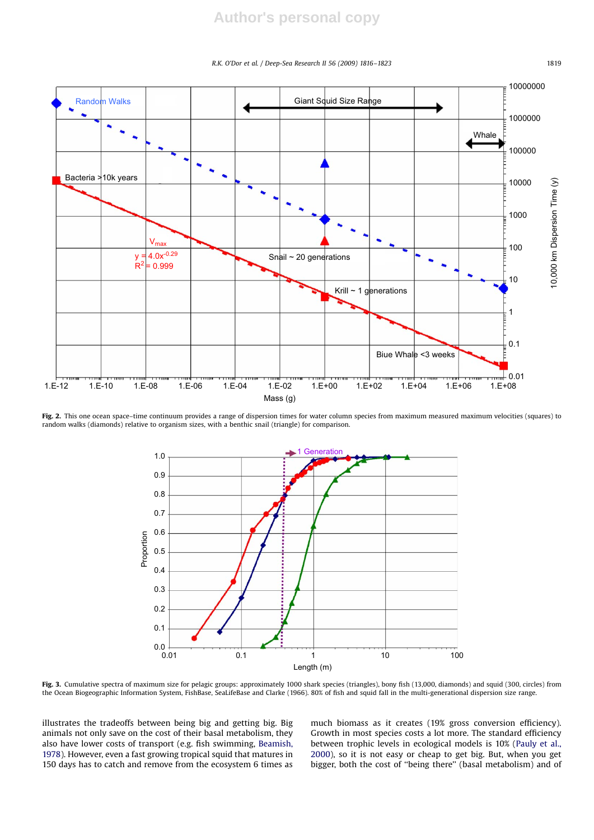#### R.K. O'Dor et al. / Deep-Sea Research II 56 (2009) 1816–1823 1819



Fig. 2. This one ocean space-time continuum provides a range of dispersion times for water column species from maximum measured maximum velocities (squares) to random walks (diamonds) relative to organism sizes, with a benthic snail (triangle) for comparison.



Fig. 3. Cumulative spectra of maximum size for pelagic groups: approximately 1000 shark species (triangles), bony fish (13,000, diamonds) and squid (300, circles) from the Ocean Biogeographic Information System, FishBase, SeaLifeBase and Clarke (1966). 80% of fish and squid fall in the multi-generational dispersion size range.

illustrates the tradeoffs between being big and getting big. Big animals not only save on the cost of their basal metabolism, they also have lower costs of transport (e.g. fish swimming, Beamish, 1978). However, even a fast growing tropical squid that matures in 150 days has to catch and remove from the ecosystem 6 times as much biomass as it creates (19% gross conversion efficiency). Growth in most species costs a lot more. The standard efficiency between trophic levels in ecological models is 10% (Pauly et al., 2000), so it is not easy or cheap to get big. But, when you get bigger, both the cost of ''being there'' (basal metabolism) and of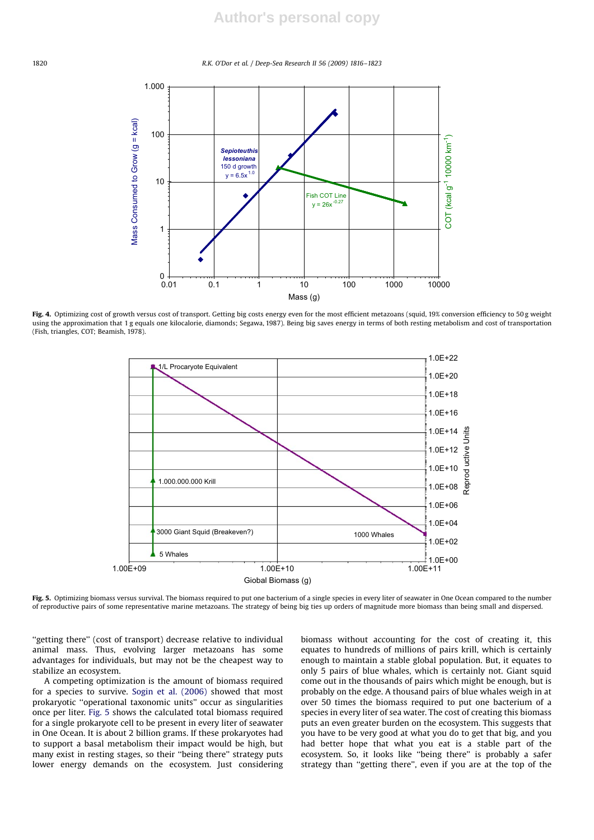#### 1820 R.K. O'Dor et al. / Deep-Sea Research II 56 (2009) 1816–1823



Fig. 4. Optimizing cost of growth versus cost of transport. Getting big costs energy even for the most efficient metazoans (squid, 19% conversion efficiency to 50 g weight using the approximation that 1 g equals one kilocalorie, diamonds; Segawa, 1987). Being big saves energy in terms of both resting metabolism and cost of transportation (Fish, triangles, COT; Beamish, 1978).



Fig. 5. Optimizing biomass versus survival. The biomass required to put one bacterium of a single species in every liter of seawater in One Ocean compared to the number of reproductive pairs of some representative marine metazoans. The strategy of being big ties up orders of magnitude more biomass than being small and dispersed.

"getting there" (cost of transport) decrease relative to individual animal mass. Thus, evolving larger metazoans has some advantages for individuals, but may not be the cheapest way to stabilize an ecosystem.

A competing optimization is the amount of biomass required for a species to survive. Sogin et al. (2006) showed that most prokaryotic ''operational taxonomic units'' occur as singularities once per liter. Fig. 5 shows the calculated total biomass required for a single prokaryote cell to be present in every liter of seawater in One Ocean. It is about 2 billion grams. If these prokaryotes had to support a basal metabolism their impact would be high, but many exist in resting stages, so their ''being there'' strategy puts lower energy demands on the ecosystem. Just considering biomass without accounting for the cost of creating it, this equates to hundreds of millions of pairs krill, which is certainly enough to maintain a stable global population. But, it equates to only 5 pairs of blue whales, which is certainly not. Giant squid come out in the thousands of pairs which might be enough, but is probably on the edge. A thousand pairs of blue whales weigh in at over 50 times the biomass required to put one bacterium of a species in every liter of sea water. The cost of creating this biomass puts an even greater burden on the ecosystem. This suggests that you have to be very good at what you do to get that big, and you had better hope that what you eat is a stable part of the ecosystem. So, it looks like ''being there'' is probably a safer strategy than ''getting there'', even if you are at the top of the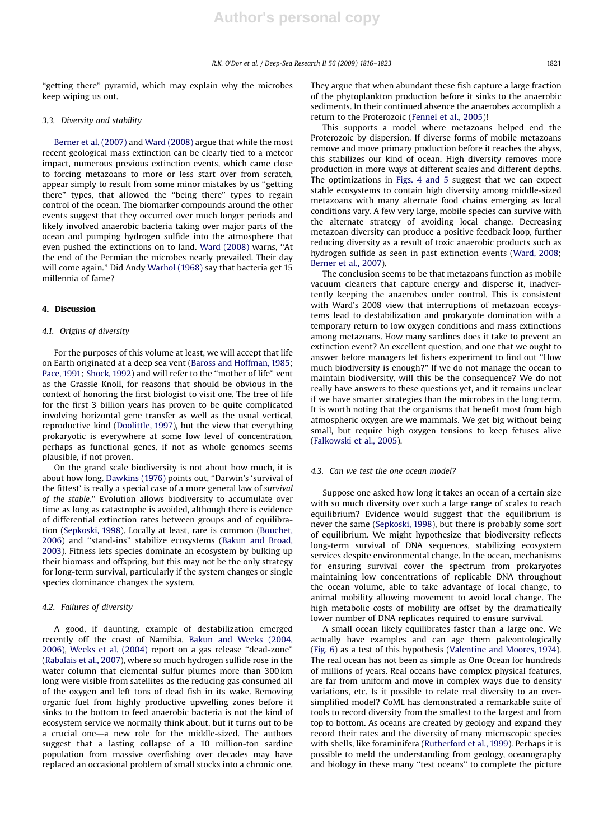''getting there'' pyramid, which may explain why the microbes keep wiping us out.

#### 3.3. Diversity and stability

Berner et al. (2007) and Ward (2008) argue that while the most recent geological mass extinction can be clearly tied to a meteor impact, numerous previous extinction events, which came close to forcing metazoans to more or less start over from scratch, appear simply to result from some minor mistakes by us ''getting there'' types, that allowed the ''being there'' types to regain control of the ocean. The biomarker compounds around the other events suggest that they occurred over much longer periods and likely involved anaerobic bacteria taking over major parts of the ocean and pumping hydrogen sulfide into the atmosphere that even pushed the extinctions on to land. Ward (2008) warns, ''At the end of the Permian the microbes nearly prevailed. Their day will come again.'' Did Andy Warhol (1968) say that bacteria get 15 millennia of fame?

## 4. Discussion

### 4.1. Origins of diversity

For the purposes of this volume at least, we will accept that life on Earth originated at a deep sea vent (Baross and Hoffman, 1985; Pace, 1991; Shock, 1992) and will refer to the "mother of life" vent as the Grassle Knoll, for reasons that should be obvious in the context of honoring the first biologist to visit one. The tree of life for the first 3 billion years has proven to be quite complicated involving horizontal gene transfer as well as the usual vertical, reproductive kind (Doolittle, 1997), but the view that everything prokaryotic is everywhere at some low level of concentration, perhaps as functional genes, if not as whole genomes seems plausible, if not proven.

On the grand scale biodiversity is not about how much, it is about how long. Dawkins (1976) points out, ''Darwin's 'survival of the fittest' is really a special case of a more general law of survival of the stable.'' Evolution allows biodiversity to accumulate over time as long as catastrophe is avoided, although there is evidence of differential extinction rates between groups and of equilibration (Sepkoski, 1998). Locally at least, rare is common (Bouchet, 2006) and ''stand-ins'' stabilize ecosystems (Bakun and Broad, 2003). Fitness lets species dominate an ecosystem by bulking up their biomass and offspring, but this may not be the only strategy for long-term survival, particularly if the system changes or single species dominance changes the system.

## 4.2. Failures of diversity

A good, if daunting, example of destabilization emerged recently off the coast of Namibia. Bakun and Weeks (2004, 2006), Weeks et al. (2004) report on a gas release ''dead-zone'' (Rabalais et al., 2007), where so much hydrogen sulfide rose in the water column that elemental sulfur plumes more than 300 km long were visible from satellites as the reducing gas consumed all of the oxygen and left tons of dead fish in its wake. Removing organic fuel from highly productive upwelling zones before it sinks to the bottom to feed anaerobic bacteria is not the kind of ecosystem service we normally think about, but it turns out to be a crucial one—a new role for the middle-sized. The authors suggest that a lasting collapse of a 10 million-ton sardine population from massive overfishing over decades may have replaced an occasional problem of small stocks into a chronic one. They argue that when abundant these fish capture a large fraction of the phytoplankton production before it sinks to the anaerobic sediments. In their continued absence the anaerobes accomplish a return to the Proterozoic (Fennel et al., 2005)!

This supports a model where metazoans helped end the Proterozoic by dispersion. If diverse forms of mobile metazoans remove and move primary production before it reaches the abyss, this stabilizes our kind of ocean. High diversity removes more production in more ways at different scales and different depths. The optimizations in Figs. 4 and 5 suggest that we can expect stable ecosystems to contain high diversity among middle-sized metazoans with many alternate food chains emerging as local conditions vary. A few very large, mobile species can survive with the alternate strategy of avoiding local change. Decreasing metazoan diversity can produce a positive feedback loop, further reducing diversity as a result of toxic anaerobic products such as hydrogen sulfide as seen in past extinction events (Ward, 2008; Berner et al., 2007).

The conclusion seems to be that metazoans function as mobile vacuum cleaners that capture energy and disperse it, inadvertently keeping the anaerobes under control. This is consistent with Ward's 2008 view that interruptions of metazoan ecosystems lead to destabilization and prokaryote domination with a temporary return to low oxygen conditions and mass extinctions among metazoans. How many sardines does it take to prevent an extinction event? An excellent question, and one that we ought to answer before managers let fishers experiment to find out ''How much biodiversity is enough?'' If we do not manage the ocean to maintain biodiversity, will this be the consequence? We do not really have answers to these questions yet, and it remains unclear if we have smarter strategies than the microbes in the long term. It is worth noting that the organisms that benefit most from high atmospheric oxygen are we mammals. We get big without being small, but require high oxygen tensions to keep fetuses alive (Falkowski et al., 2005).

## 4.3. Can we test the one ocean model?

Suppose one asked how long it takes an ocean of a certain size with so much diversity over such a large range of scales to reach equilibrium? Evidence would suggest that the equilibrium is never the same (Sepkoski, 1998), but there is probably some sort of equilibrium. We might hypothesize that biodiversity reflects long-term survival of DNA sequences, stabilizing ecosystem services despite environmental change. In the ocean, mechanisms for ensuring survival cover the spectrum from prokaryotes maintaining low concentrations of replicable DNA throughout the ocean volume, able to take advantage of local change, to animal mobility allowing movement to avoid local change. The high metabolic costs of mobility are offset by the dramatically lower number of DNA replicates required to ensure survival.

A small ocean likely equilibrates faster than a large one. We actually have examples and can age them paleontologically (Fig. 6) as a test of this hypothesis (Valentine and Moores, 1974). The real ocean has not been as simple as One Ocean for hundreds of millions of years. Real oceans have complex physical features, are far from uniform and move in complex ways due to density variations, etc. Is it possible to relate real diversity to an oversimplified model? CoML has demonstrated a remarkable suite of tools to record diversity from the smallest to the largest and from top to bottom. As oceans are created by geology and expand they record their rates and the diversity of many microscopic species with shells, like foraminifera (Rutherford et al., 1999). Perhaps it is possible to meld the understanding from geology, oceanography and biology in these many ''test oceans'' to complete the picture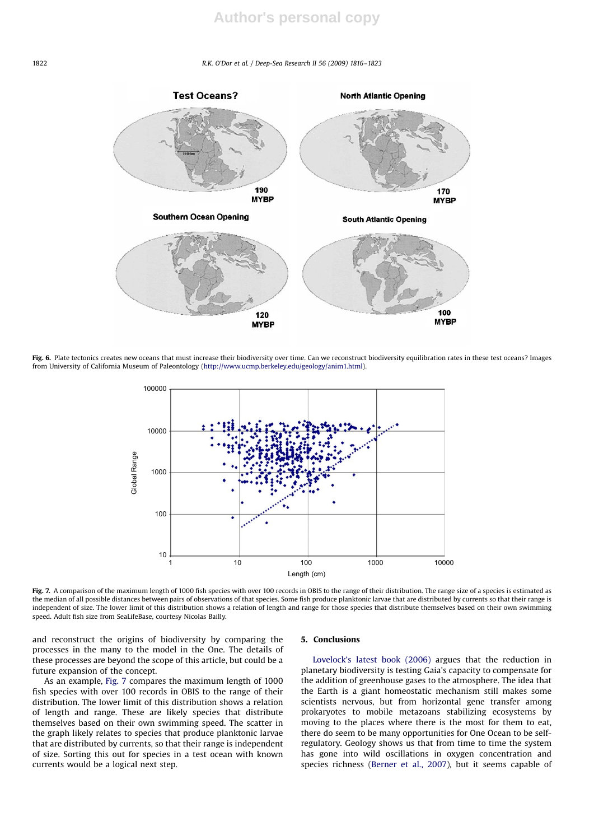#### 1822 R.K. O'Dor et al. / Deep-Sea Research II 56 (2009) 1816–1823



Fig. 6. Plate tectonics creates new oceans that must increase their biodiversity over time. Can we reconstruct biodiversity equilibration rates in these test oceans? Images from University of California Museum of Paleontology (http://www.ucmp.berkeley.edu/geology/anim1.html).



Fig. 7. A comparison of the maximum length of 1000 fish species with over 100 records in OBIS to the range of their distribution. The range size of a species is estimated as the median of all possible distances between pairs of observations of that species. Some fish produce planktonic larvae that are distributed by currents so that their range is independent of size. The lower limit of this distribution shows a relation of length and range for those species that distribute themselves based on their own swimming speed. Adult fish size from SeaLifeBase, courtesy Nicolas Bailly.

and reconstruct the origins of biodiversity by comparing the processes in the many to the model in the One. The details of these processes are beyond the scope of this article, but could be a future expansion of the concept.

As an example, Fig. 7 compares the maximum length of 1000 fish species with over 100 records in OBIS to the range of their distribution. The lower limit of this distribution shows a relation of length and range. These are likely species that distribute themselves based on their own swimming speed. The scatter in the graph likely relates to species that produce planktonic larvae that are distributed by currents, so that their range is independent of size. Sorting this out for species in a test ocean with known currents would be a logical next step.

### 5. Conclusions

Lovelock's latest book (2006) argues that the reduction in planetary biodiversity is testing Gaia's capacity to compensate for the addition of greenhouse gases to the atmosphere. The idea that the Earth is a giant homeostatic mechanism still makes some scientists nervous, but from horizontal gene transfer among prokaryotes to mobile metazoans stabilizing ecosystems by moving to the places where there is the most for them to eat, there do seem to be many opportunities for One Ocean to be selfregulatory. Geology shows us that from time to time the system has gone into wild oscillations in oxygen concentration and species richness (Berner et al., 2007), but it seems capable of